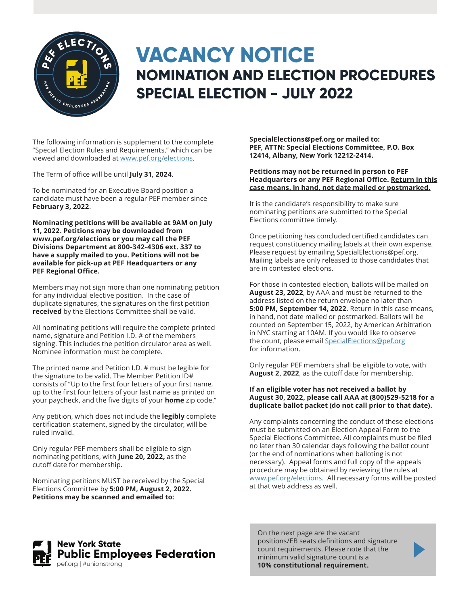

## **VACANCY NOTICE NOMINATION AND ELECTION PROCEDURES SPECIAL ELECTION - JULY 2022**

The following information is supplement to the complete "Special Election Rules and Requirements," which can be viewed and downloaded at www.pef.org/elections.

The Term of office will be until **July 31, 2024**.

To be nominated for an Executive Board position a candidate must have been a regular PEF member since **February 3, 2022**.

**Nominating petitions will be available at 9AM on July 11, 2022. Petitions may be downloaded from www.pef.org/elections or you may call the PEF Divisions Department at 800-342-4306 ext. 337 to have a supply mailed to you. Petitions will not be available for pick-up at PEF Headquarters or any PEF Regional Office.**

Members may not sign more than one nominating petition for any individual elective position. In the case of duplicate signatures, the signatures on the first petition **received** by the Elections Committee shall be valid.

All nominating petitions will require the complete printed name, signature and Petition I.D. # of the members signing. This includes the petition circulator area as well. Nominee information must be complete.

The printed name and Petition I.D. # must be legible for the signature to be valid. The Member Petition ID# consists of "Up to the first four letters of your first name, up to the first four letters of your last name as printed on your paycheck, and the five digits of your **home** zip code."

Any petition, which does not include the **legibly** complete certification statement, signed by the circulator, will be ruled invalid.

Only regular PEF members shall be eligible to sign nominating petitions, with **June 20, 2022,** as the cutoff date for membership.

Nominating petitions MUST be received by the Special Elections Committee by **5:00 PM, August 2, 2022. Petitions may be scanned and emailed to:**

**SpecialElections@pef.org or mailed to: PEF, ATTN: Special Elections Committee, P.O. Box 12414, Albany, New York 12212-2414.**

## **Petitions may not be returned in person to PEF Headquarters or any PEF Regional Office. Return in this case means, in hand, not date mailed or postmarked.**

It is the candidate's responsibility to make sure nominating petitions are submitted to the Special Elections committee timely.

Once petitioning has concluded certified candidates can request constituency mailing labels at their own expense. Please request by emailing SpecialElections@pef.org. Mailing labels are only released to those candidates that are in contested elections.

For those in contested election, ballots will be mailed on **August 23, 2022**, by AAA and must be returned to the address listed on the return envelope no later than **5:00 PM, September 14, 2022**. Return in this case means, in hand, not date mailed or postmarked. Ballots will be counted on September 15, 2022, by American Arbitration in NYC starting at 10AM. If you would like to observe the count, please email SpecialElections@pef.org for information.

Only regular PEF members shall be eligible to vote, with **August 2, 2022**, as the cutoff date for membership.

## **If an eligible voter has not received a ballot by August 30, 2022, please call AAA at (800)529-5218 for a duplicate ballot packet (do not call prior to that date).**

Any complaints concerning the conduct of these elections must be submitted on an Election Appeal Form to the Special Elections Committee. All complaints must be filed no later than 30 calendar days following the ballot count (or the end of nominations when balloting is not necessary). Appeal forms and full copy of the appeals procedure may be obtained by reviewing the rules at www.pef.org/elections. All necessary forms will be posted at that web address as well.



On the next page are the vacant positions/EB seats definitions and signature count requirements. Please note that the minimum valid signature count is a **10% constitutional requirement.**